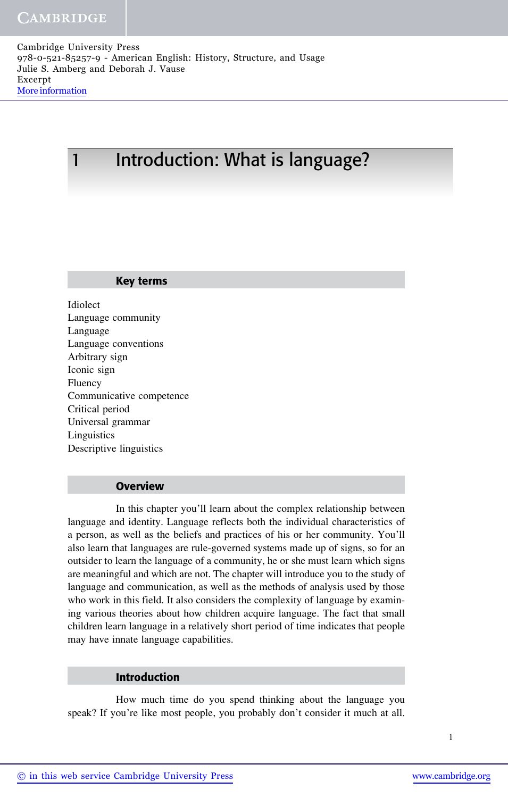# 1 Introduction: What is language?

# Key terms

Idiolect Language community Language Language conventions Arbitrary sign Iconic sign Fluency Communicative competence Critical period Universal grammar **Linguistics** Descriptive linguistics

## **Overview**

In this chapter you'll learn about the complex relationship between language and identity. Language reflects both the individual characteristics of a person, as well as the beliefs and practices of his or her community. You'll also learn that languages are rule-governed systems made up of signs, so for an outsider to learn the language of a community, he or she must learn which signs are meaningful and which are not. The chapter will introduce you to the study of language and communication, as well as the methods of analysis used by those who work in this field. It also considers the complexity of language by examining various theories about how children acquire language. The fact that small children learn language in a relatively short period of time indicates that people may have innate language capabilities.

# Introduction

How much time do you spend thinking about the language you speak? If you're like most people, you probably don't consider it much at all.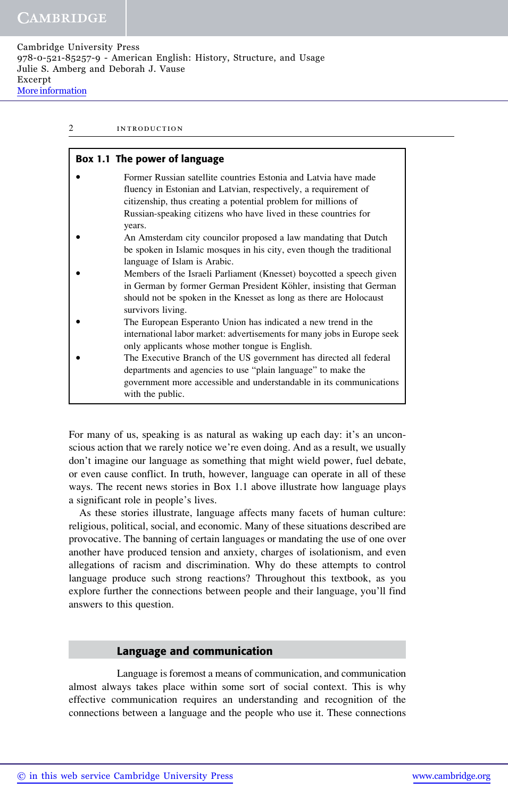| Box 1.1 The power of language |                                                                                                                                                                                                                                                                                                                                                                                                                                                   |  |  |  |  |
|-------------------------------|---------------------------------------------------------------------------------------------------------------------------------------------------------------------------------------------------------------------------------------------------------------------------------------------------------------------------------------------------------------------------------------------------------------------------------------------------|--|--|--|--|
|                               | Former Russian satellite countries Estonia and Latvia have made<br>fluency in Estonian and Latvian, respectively, a requirement of<br>citizenship, thus creating a potential problem for millions of<br>Russian-speaking citizens who have lived in these countries for                                                                                                                                                                           |  |  |  |  |
|                               | years.                                                                                                                                                                                                                                                                                                                                                                                                                                            |  |  |  |  |
|                               | An Amsterdam city councilor proposed a law mandating that Dutch<br>be spoken in Islamic mosques in his city, even though the traditional<br>language of Islam is Arabic.<br>Members of the Israeli Parliament (Knesset) boycotted a speech given<br>in German by former German President Köhler, insisting that German<br>should not be spoken in the Knesset as long as there are Holocaust                                                      |  |  |  |  |
|                               | survivors living.<br>The European Esperanto Union has indicated a new trend in the<br>international labor market: advertisements for many jobs in Europe seek<br>only applicants whose mother tongue is English.<br>The Executive Branch of the US government has directed all federal<br>departments and agencies to use "plain language" to make the<br>government more accessible and understandable in its communications<br>with the public. |  |  |  |  |

For many of us, speaking is as natural as waking up each day: it's an unconscious action that we rarely notice we're even doing. And as a result, we usually don't imagine our language as something that might wield power, fuel debate, or even cause conflict. In truth, however, language can operate in all of these ways. The recent news stories in Box 1.1 above illustrate how language plays a significant role in people's lives.

As these stories illustrate, language affects many facets of human culture: religious, political, social, and economic. Many of these situations described are provocative. The banning of certain languages or mandating the use of one over another have produced tension and anxiety, charges of isolationism, and even allegations of racism and discrimination. Why do these attempts to control language produce such strong reactions? Throughout this textbook, as you explore further the connections between people and their language, you'll find answers to this question.

# Language and communication

Language is foremost a means of communication, and communication almost always takes place within some sort of social context. This is why effective communication requires an understanding and recognition of the connections between a language and the people who use it. These connections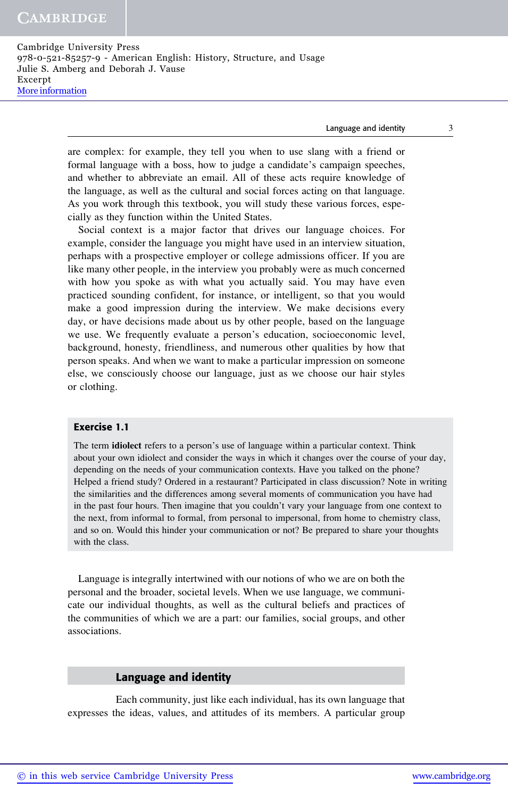Language and identity 3

are complex: for example, they tell you when to use slang with a friend or formal language with a boss, how to judge a candidate's campaign speeches, and whether to abbreviate an email. All of these acts require knowledge of the language, as well as the cultural and social forces acting on that language. As you work through this textbook, you will study these various forces, especially as they function within the United States.

Social context is a major factor that drives our language choices. For example, consider the language you might have used in an interview situation, perhaps with a prospective employer or college admissions officer. If you are like many other people, in the interview you probably were as much concerned with how you spoke as with what you actually said. You may have even practiced sounding confident, for instance, or intelligent, so that you would make a good impression during the interview. We make decisions every day, or have decisions made about us by other people, based on the language we use. We frequently evaluate a person's education, socioeconomic level, background, honesty, friendliness, and numerous other qualities by how that person speaks. And when we want to make a particular impression on someone else, we consciously choose our language, just as we choose our hair styles or clothing.

#### Exercise 1.1

The term idiolect refers to a person's use of language within a particular context. Think about your own idiolect and consider the ways in which it changes over the course of your day, depending on the needs of your communication contexts. Have you talked on the phone? Helped a friend study? Ordered in a restaurant? Participated in class discussion? Note in writing the similarities and the differences among several moments of communication you have had in the past four hours. Then imagine that you couldn't vary your language from one context to the next, from informal to formal, from personal to impersonal, from home to chemistry class, and so on. Would this hinder your communication or not? Be prepared to share your thoughts with the class.

Language is integrally intertwined with our notions of who we are on both the personal and the broader, societal levels. When we use language, we communicate our individual thoughts, as well as the cultural beliefs and practices of the communities of which we are a part: our families, social groups, and other associations.

# Language and identity

Each community, just like each individual, has its own language that expresses the ideas, values, and attitudes of its members. A particular group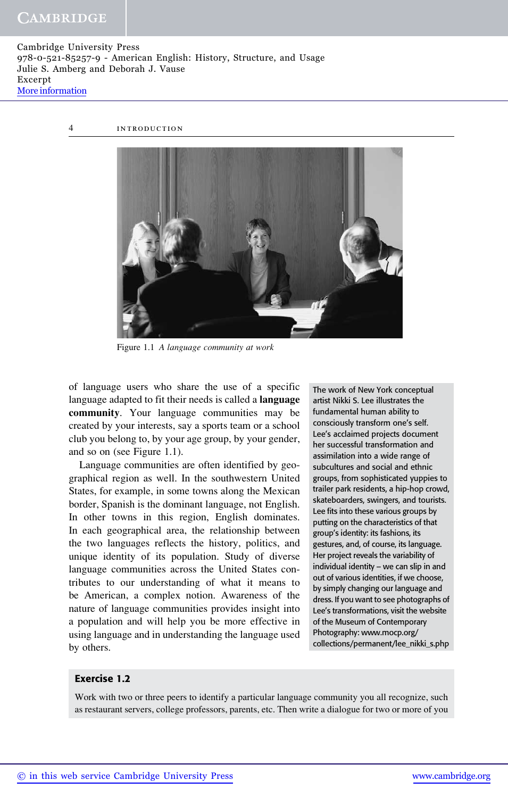# **CAMBRIDGE**

Cambridge University Press 978-0-521-85257-9 - American English: History, Structure, and Usage Julie S. Amberg and Deborah J. Vause Excerpt [More information](http://www.cambridge.org/9780521852579)

#### **INTRODUCTION**



Figure 1.1 A language community at work

of language users who share the use of a specific language adapted to fit their needs is called a **language** community. Your language communities may be created by your interests, say a sports team or a school club you belong to, by your age group, by your gender, and so on (see Figure 1.1).

Language communities are often identified by geographical region as well. In the southwestern United States, for example, in some towns along the Mexican border, Spanish is the dominant language, not English. In other towns in this region, English dominates. In each geographical area, the relationship between the two languages reflects the history, politics, and unique identity of its population. Study of diverse language communities across the United States contributes to our understanding of what it means to be American, a complex notion. Awareness of the nature of language communities provides insight into a population and will help you be more effective in using language and in understanding the language used by others.

The work of New York conceptual artist Nikki S. Lee illustrates the fundamental human ability to consciously transform one's self. Lee's acclaimed projects document her successful transformation and assimilation into a wide range of subcultures and social and ethnic groups, from sophisticated yuppies to trailer park residents, a hip-hop crowd, skateboarders, swingers, and tourists. Lee fits into these various groups by putting on the characteristics of that group's identity: its fashions, its gestures, and, of course, its language. Her project reveals the variability of individual identity – we can slip in and out of various identities, if we choose, by simply changing our language and dress. If you want to see photographs of Lee's transformations, visit the website of the Museum of Contemporary Photography: www.mocp.org/ collections/permanent/lee\_nikki\_s.php

# Exercise 1.2

Work with two or three peers to identify a particular language community you all recognize, such as restaurant servers, college professors, parents, etc. Then write a dialogue for two or more of you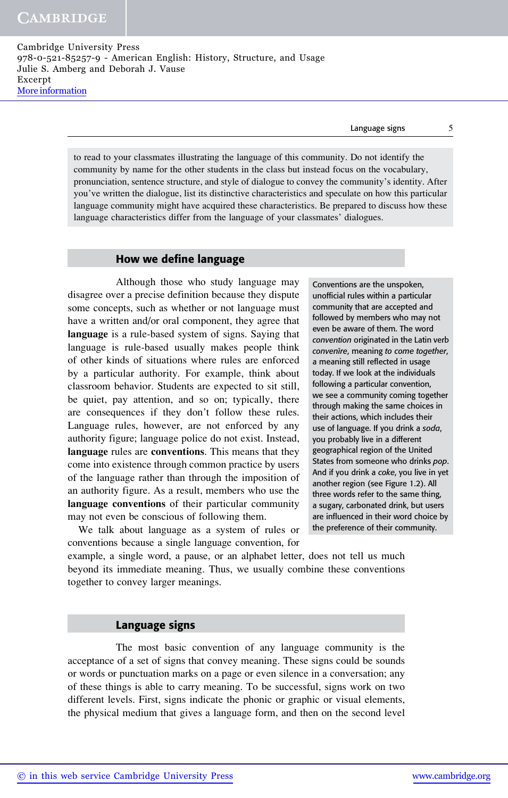Language signs 5

to read to your classmates illustrating the language of this community. Do not identify the community by name for the other students in the class but instead focus on the vocabulary, pronunciation, sentence structure, and style of dialogue to convey the community's identity. After you've written the dialogue, list its distinctive characteristics and speculate on how this particular language community might have acquired these characteristics. Be prepared to discuss how these language characteristics differ from the language of your classmates' dialogues.

### How we define language

Although those who study language may disagree over a precise definition because they dispute some concepts, such as whether or not language must have a written and/or oral component, they agree that language is a rule-based system of signs. Saying that language is rule-based usually makes people think of other kinds of situations where rules are enforced by a particular authority. For example, think about classroom behavior. Students are expected to sit still, be quiet, pay attention, and so on; typically, there are consequences if they don't follow these rules. Language rules, however, are not enforced by any authority figure; language police do not exist. Instead, language rules are conventions. This means that they come into existence through common practice by users of the language rather than through the imposition of an authority figure. As a result, members who use the language conventions of their particular community may not even be conscious of following them.

We talk about language as a system of rules or conventions because a single language convention, for

example, a single word, a pause, or an alphabet letter, does not tell us much beyond its immediate meaning. Thus, we usually combine these conventions together to convey larger meanings.

#### Language signs

The most basic convention of any language community is the acceptance of a set of signs that convey meaning. These signs could be sounds or words or punctuation marks on a page or even silence in a conversation; any of these things is able to carry meaning. To be successful, signs work on two different levels. First, signs indicate the phonic or graphic or visual elements, the physical medium that gives a language form, and then on the second level

Conventions are the unspoken, unofficial rules within a particular community that are accepted and followed by members who may not even be aware of them. The word convention originated in the Latin verb convenire, meaning to come together, a meaning still reflected in usage today. If we look at the individuals following a particular convention, we see a community coming together through making the same choices in their actions, which includes their use of language. If you drink a soda, you probably live in a different geographical region of the United States from someone who drinks pop. And if you drink a coke, you live in yet another region (see Figure 1.2). All three words refer to the same thing, a sugary, carbonated drink, but users are influenced in their word choice by the preference of their community.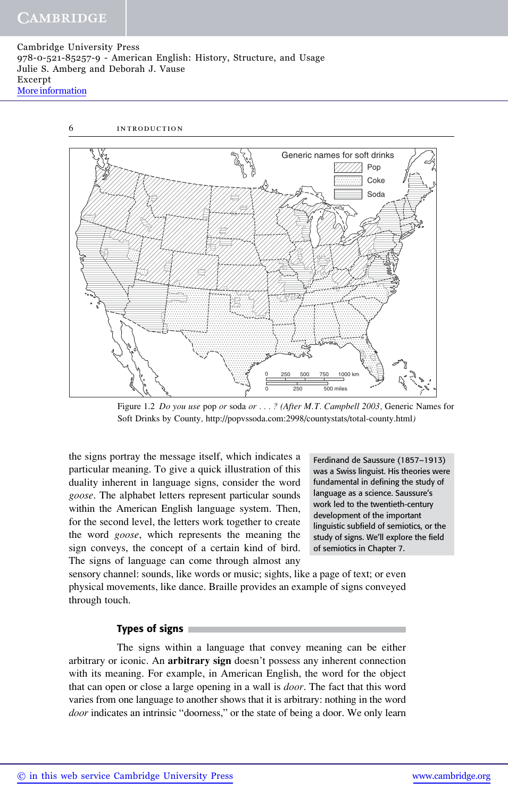# **CAMBRIDGE**

Cambridge University Press 978-0-521-85257-9 - American English: History, Structure, and Usage Julie S. Amberg and Deborah J. Vause Excerpt [More information](http://www.cambridge.org/9780521852579)





Figure 1.2 Do you use pop or soda or . . . ? (After M.T. Campbell 2003, Generic Names for Soft Drinks by County, http://popvssoda.com:2998/countystats/total-county.html)

the signs portray the message itself, which indicates a particular meaning. To give a quick illustration of this duality inherent in language signs, consider the word goose. The alphabet letters represent particular sounds within the American English language system. Then, for the second level, the letters work together to create the word goose, which represents the meaning the sign conveys, the concept of a certain kind of bird. The signs of language can come through almost any

Ferdinand de Saussure (1857–1913) was a Swiss linguist. His theories were fundamental in defining the study of language as a science. Saussure's work led to the twentieth-century development of the important linguistic subfield of semiotics, or the study of signs. We'll explore the field of semiotics in Chapter 7.

sensory channel: sounds, like words or music; sights, like a page of text; or even physical movements, like dance. Braille provides an example of signs conveyed through touch.

# Types of signs

The signs within a language that convey meaning can be either arbitrary or iconic. An arbitrary sign doesn't possess any inherent connection with its meaning. For example, in American English, the word for the object that can open or close a large opening in a wall is *door*. The fact that this word varies from one language to another shows that it is arbitrary: nothing in the word door indicates an intrinsic "doorness," or the state of being a door. We only learn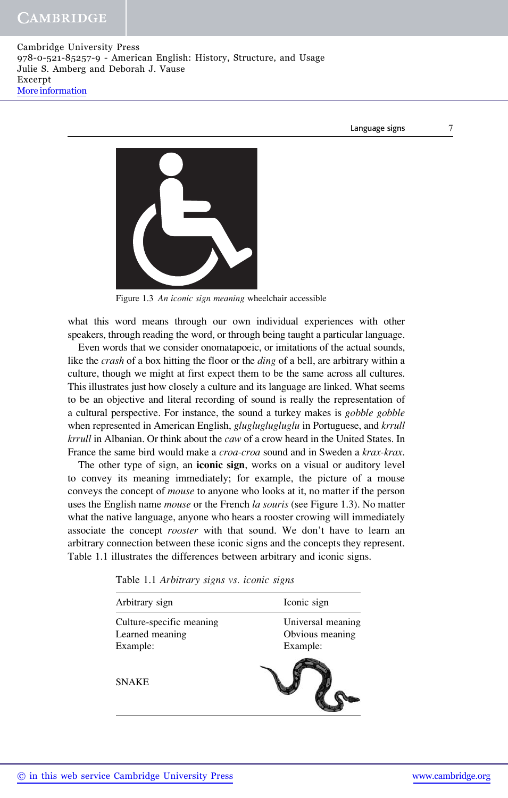Language signs 7



Figure 1.3 An iconic sign meaning wheelchair accessible

what this word means through our own individual experiences with other speakers, through reading the word, or through being taught a particular language.

Even words that we consider onomatapoeic, or imitations of the actual sounds, like the *crash* of a box hitting the floor or the *ding* of a bell, are arbitrary within a culture, though we might at first expect them to be the same across all cultures. This illustrates just how closely a culture and its language are linked. What seems to be an objective and literal recording of sound is really the representation of a cultural perspective. For instance, the sound a turkey makes is *gobble gobble* when represented in American English, *glugluglugluglu* in Portuguese, and *krrull* krrull in Albanian. Or think about the caw of a crow heard in the United States. In France the same bird would make a *croa-croa* sound and in Sweden a *krax-krax*.

The other type of sign, an iconic sign, works on a visual or auditory level to convey its meaning immediately; for example, the picture of a mouse conveys the concept of mouse to anyone who looks at it, no matter if the person uses the English name *mouse* or the French la souris (see Figure 1.3). No matter what the native language, anyone who hears a rooster crowing will immediately associate the concept *rooster* with that sound. We don't have to learn an arbitrary connection between these iconic signs and the concepts they represent. Table 1.1 illustrates the differences between arbitrary and iconic signs.

| Arbitrary sign                                          | Iconic sign                                      |
|---------------------------------------------------------|--------------------------------------------------|
| Culture-specific meaning<br>Learned meaning<br>Example: | Universal meaning<br>Obvious meaning<br>Example: |
| <b>SNAKE</b>                                            |                                                  |

|  | Table 1.1 Arbitrary signs vs. iconic signs |  |  |
|--|--------------------------------------------|--|--|
|  |                                            |  |  |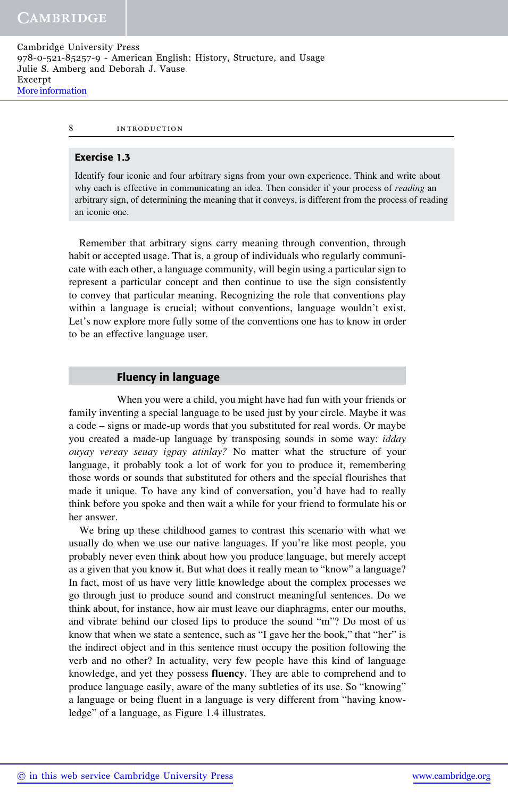# **CAMBRIDGE**

#### 8 **INTRODUCTION**

#### Exercise 1.3

Identify four iconic and four arbitrary signs from your own experience. Think and write about why each is effective in communicating an idea. Then consider if your process of *reading* an arbitrary sign, of determining the meaning that it conveys, is different from the process of reading an iconic one.

Remember that arbitrary signs carry meaning through convention, through habit or accepted usage. That is, a group of individuals who regularly communicate with each other, a language community, will begin using a particular sign to represent a particular concept and then continue to use the sign consistently to convey that particular meaning. Recognizing the role that conventions play within a language is crucial; without conventions, language wouldn't exist. Let's now explore more fully some of the conventions one has to know in order to be an effective language user.

# Fluency in language

When you were a child, you might have had fun with your friends or family inventing a special language to be used just by your circle. Maybe it was a code – signs or made-up words that you substituted for real words. Or maybe you created a made-up language by transposing sounds in some way: idday ouyay vereay seuay igpay atinlay? No matter what the structure of your language, it probably took a lot of work for you to produce it, remembering those words or sounds that substituted for others and the special flourishes that made it unique. To have any kind of conversation, you'd have had to really think before you spoke and then wait a while for your friend to formulate his or her answer.

We bring up these childhood games to contrast this scenario with what we usually do when we use our native languages. If you're like most people, you probably never even think about how you produce language, but merely accept as a given that you know it. But what does it really mean to "know" a language? In fact, most of us have very little knowledge about the complex processes we go through just to produce sound and construct meaningful sentences. Do we think about, for instance, how air must leave our diaphragms, enter our mouths, and vibrate behind our closed lips to produce the sound "m"? Do most of us know that when we state a sentence, such as "I gave her the book," that "her" is the indirect object and in this sentence must occupy the position following the verb and no other? In actuality, very few people have this kind of language knowledge, and yet they possess fluency. They are able to comprehend and to produce language easily, aware of the many subtleties of its use. So "knowing" a language or being fluent in a language is very different from "having knowledge" of a language, as Figure 1.4 illustrates.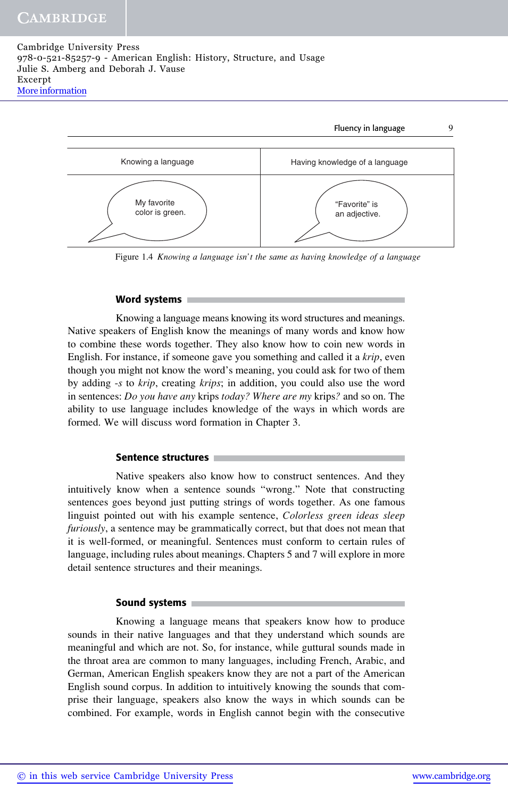

Figure 1.4 Knowing a language isn't the same as having knowledge of a language

#### Word systems

Knowing a language means knowing its word structures and meanings. Native speakers of English know the meanings of many words and know how to combine these words together. They also know how to coin new words in English. For instance, if someone gave you something and called it a krip, even though you might not know the word's meaning, you could ask for two of them by adding -s to krip, creating krips; in addition, you could also use the word in sentences: *Do you have any krips today? Where are my krips?* and so on. The ability to use language includes knowledge of the ways in which words are formed. We will discuss word formation in Chapter 3.

#### Sentence structures

Native speakers also know how to construct sentences. And they intuitively know when a sentence sounds "wrong." Note that constructing sentences goes beyond just putting strings of words together. As one famous linguist pointed out with his example sentence, Colorless green ideas sleep furiously, a sentence may be grammatically correct, but that does not mean that it is well-formed, or meaningful. Sentences must conform to certain rules of language, including rules about meanings. Chapters 5 and 7 will explore in more detail sentence structures and their meanings.

#### Sound systems

Knowing a language means that speakers know how to produce sounds in their native languages and that they understand which sounds are meaningful and which are not. So, for instance, while guttural sounds made in the throat area are common to many languages, including French, Arabic, and German, American English speakers know they are not a part of the American English sound corpus. In addition to intuitively knowing the sounds that comprise their language, speakers also know the ways in which sounds can be combined. For example, words in English cannot begin with the consecutive